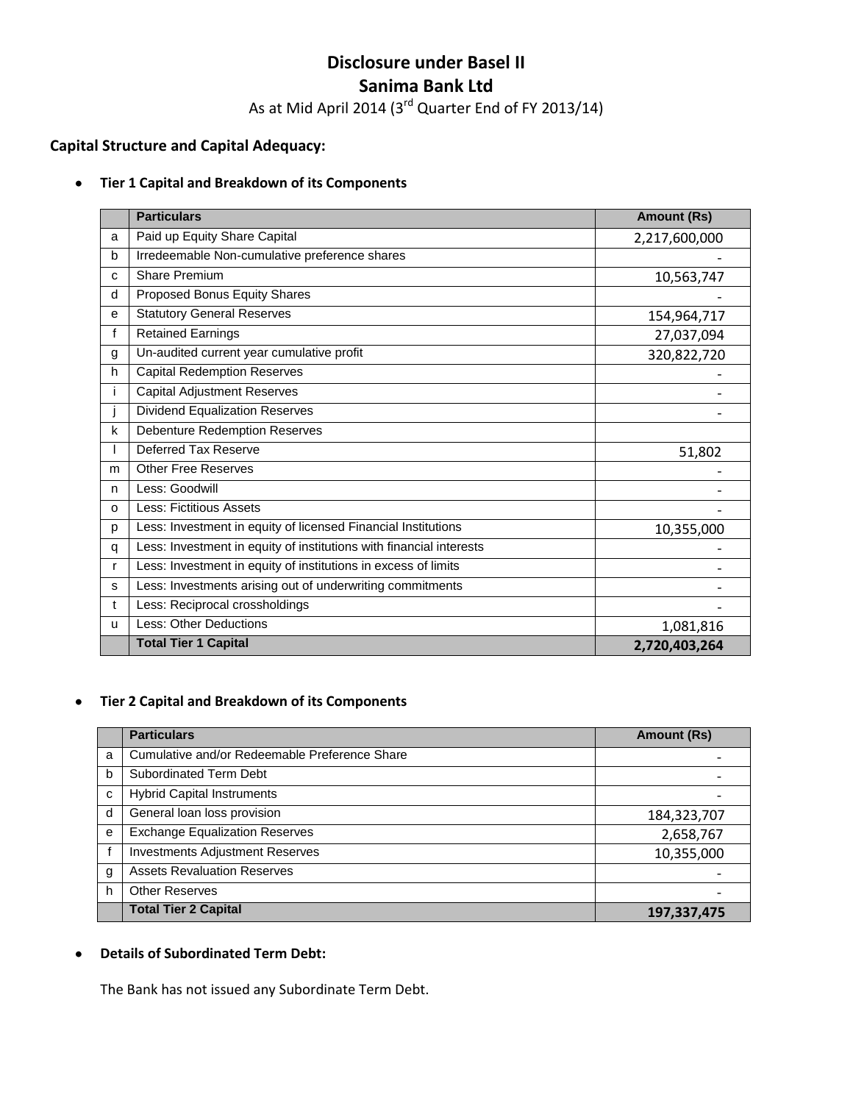# **Disclosure under Basel II Sanima Bank Ltd**

As at Mid April 2014 (3 $^{\text{rd}}$  Quarter End of FY 2013/14)

# **Capital Structure and Capital Adequacy:**

### **Tier 1 Capital and Breakdown of its Components**

|              | <b>Particulars</b>                                                  | <b>Amount (Rs)</b> |
|--------------|---------------------------------------------------------------------|--------------------|
| a            | Paid up Equity Share Capital                                        | 2,217,600,000      |
| b            | Irredeemable Non-cumulative preference shares                       |                    |
| C            | <b>Share Premium</b>                                                | 10,563,747         |
| d            | Proposed Bonus Equity Shares                                        |                    |
| e            | <b>Statutory General Reserves</b>                                   | 154,964,717        |
| f            | <b>Retained Earnings</b>                                            | 27,037,094         |
| g            | Un-audited current year cumulative profit                           | 320,822,720        |
| h            | <b>Capital Redemption Reserves</b>                                  |                    |
|              | <b>Capital Adjustment Reserves</b>                                  |                    |
|              | <b>Dividend Equalization Reserves</b>                               |                    |
| k            | <b>Debenture Redemption Reserves</b>                                |                    |
|              | Deferred Tax Reserve                                                | 51,802             |
| m            | <b>Other Free Reserves</b>                                          |                    |
| n            | Less: Goodwill                                                      |                    |
| $\Omega$     | Less: Fictitious Assets                                             |                    |
| p            | Less: Investment in equity of licensed Financial Institutions       | 10,355,000         |
| q            | Less: Investment in equity of institutions with financial interests |                    |
| r            | Less: Investment in equity of institutions in excess of limits      |                    |
| s            | Less: Investments arising out of underwriting commitments           |                    |
| t            | Less: Reciprocal crossholdings                                      |                    |
| $\mathbf{u}$ | Less: Other Deductions                                              | 1,081,816          |
|              | <b>Total Tier 1 Capital</b>                                         | 2,720,403,264      |

#### **Tier 2 Capital and Breakdown of its Components**  $\bullet$

|   | <b>Particulars</b>                            | <b>Amount (Rs)</b> |
|---|-----------------------------------------------|--------------------|
| a | Cumulative and/or Redeemable Preference Share |                    |
| b | <b>Subordinated Term Debt</b>                 |                    |
| C | <b>Hybrid Capital Instruments</b>             |                    |
| d | General loan loss provision                   | 184,323,707        |
| e | <b>Exchange Equalization Reserves</b>         | 2,658,767          |
|   | <b>Investments Adjustment Reserves</b>        | 10,355,000         |
| g | <b>Assets Revaluation Reserves</b>            |                    |
| h | <b>Other Reserves</b>                         |                    |
|   | <b>Total Tier 2 Capital</b>                   | 197,337,475        |

#### **Details of Subordinated Term Debt:**  $\bullet$

The Bank has not issued any Subordinate Term Debt.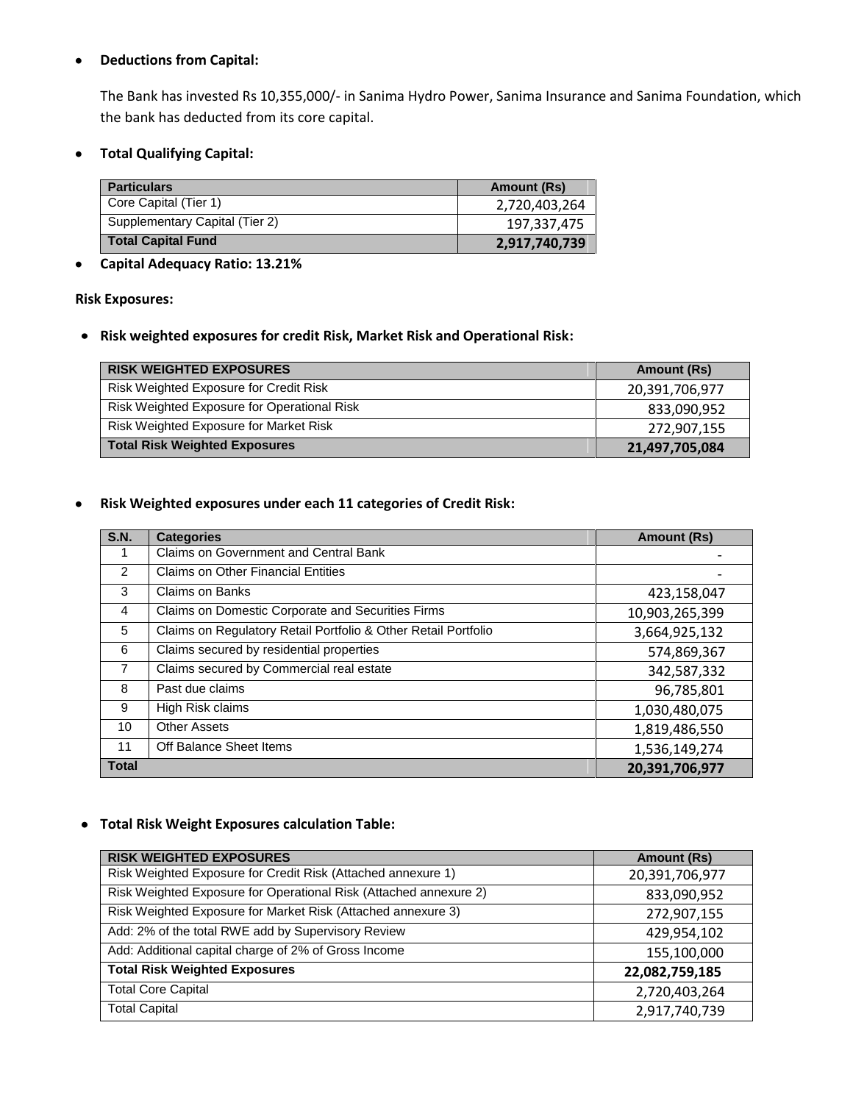#### **Deductions from Capital:**  $\bullet$

The Bank has invested Rs 10,355,000/- in Sanima Hydro Power, Sanima Insurance and Sanima Foundation, which the bank has deducted from its core capital.

**Total Qualifying Capital:**  $\bullet$ 

| <b>Particulars</b>             | Amount (Rs)   |
|--------------------------------|---------------|
| Core Capital (Tier 1)          | 2,720,403,264 |
| Supplementary Capital (Tier 2) | 197,337,475   |
| <b>Total Capital Fund</b>      | 2,917,740,739 |

# **Capital Adequacy Ratio: 13.21%**

## **Risk Exposures:**

**Risk weighted exposures for credit Risk, Market Risk and Operational Risk:**

| <b>RISK WEIGHTED EXPOSURES</b>                | <b>Amount (Rs)</b> |
|-----------------------------------------------|--------------------|
| Risk Weighted Exposure for Credit Risk        | 20,391,706,977     |
| Risk Weighted Exposure for Operational Risk   | 833,090,952        |
| <b>Risk Weighted Exposure for Market Risk</b> | 272,907,155        |
| <b>Total Risk Weighted Exposures</b>          | 21,497,705,084     |

#### **Risk Weighted exposures under each 11 categories of Credit Risk:**  $\bullet$

| <b>S.N.</b>    | <b>Categories</b>                                              | <b>Amount (Rs)</b> |
|----------------|----------------------------------------------------------------|--------------------|
| 1              | Claims on Government and Central Bank                          |                    |
| 2              | <b>Claims on Other Financial Entities</b>                      |                    |
| 3              | Claims on Banks                                                | 423,158,047        |
| 4              | Claims on Domestic Corporate and Securities Firms              | 10,903,265,399     |
| 5              | Claims on Regulatory Retail Portfolio & Other Retail Portfolio | 3,664,925,132      |
| 6              | Claims secured by residential properties                       | 574,869,367        |
| $\overline{7}$ | Claims secured by Commercial real estate                       | 342,587,332        |
| 8              | Past due claims                                                | 96,785,801         |
| 9              | High Risk claims                                               | 1,030,480,075      |
| 10             | <b>Other Assets</b>                                            | 1,819,486,550      |
| 11             | Off Balance Sheet Items                                        | 1,536,149,274      |
| <b>Total</b>   |                                                                | 20,391,706,977     |

## **Total Risk Weight Exposures calculation Table:**

| <b>RISK WEIGHTED EXPOSURES</b>                                    | Amount (Rs)    |
|-------------------------------------------------------------------|----------------|
| Risk Weighted Exposure for Credit Risk (Attached annexure 1)      | 20,391,706,977 |
| Risk Weighted Exposure for Operational Risk (Attached annexure 2) | 833,090,952    |
| Risk Weighted Exposure for Market Risk (Attached annexure 3)      | 272,907,155    |
| Add: 2% of the total RWE add by Supervisory Review                | 429,954,102    |
| Add: Additional capital charge of 2% of Gross Income              | 155,100,000    |
| <b>Total Risk Weighted Exposures</b>                              | 22,082,759,185 |
| <b>Total Core Capital</b>                                         | 2,720,403,264  |
| <b>Total Capital</b>                                              | 2,917,740,739  |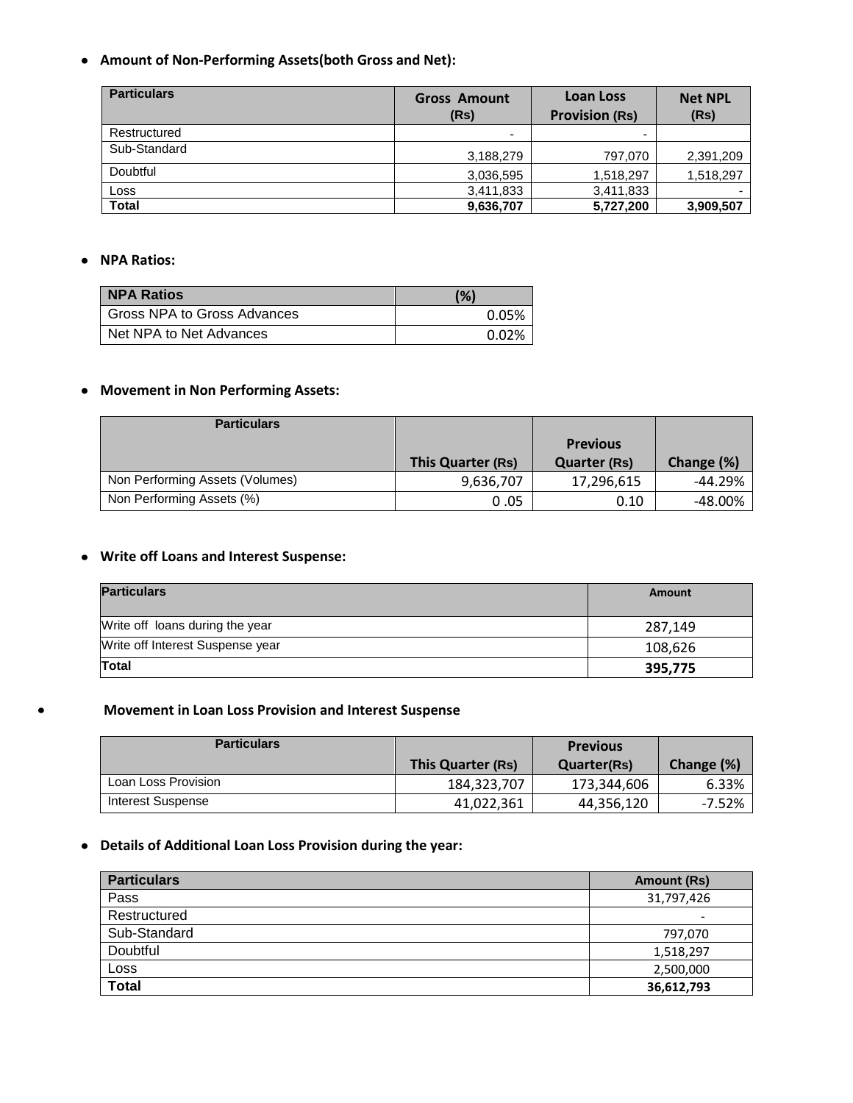**Amount of Non-Performing Assets(both Gross and Net):**

| <b>Particulars</b> | <b>Gross Amount</b><br>(Rs) | <b>Loan Loss</b><br><b>Provision (Rs)</b> | <b>Net NPL</b><br>(Rs) |
|--------------------|-----------------------------|-------------------------------------------|------------------------|
| Restructured       | -                           |                                           |                        |
| Sub-Standard       | 3,188,279                   | 797,070                                   | 2,391,209              |
| Doubtful           | 3,036,595                   | 1,518,297                                 | 1,518,297              |
| Loss               | 3,411,833                   | 3,411,833                                 |                        |
| <b>Total</b>       | 9,636,707                   | 5,727,200                                 | 3,909,507              |

### **NPA Ratios:**

 $\bullet$ 

| <b>NPA Ratios</b>           | (%)   |
|-----------------------------|-------|
| Gross NPA to Gross Advances | 0.05% |
| Net NPA to Net Advances     | 0.02% |

## **Movement in Non Performing Assets:**

| <b>Particulars</b>              |                   |                                        |            |
|---------------------------------|-------------------|----------------------------------------|------------|
|                                 | This Quarter (Rs) | <b>Previous</b><br><b>Quarter (Rs)</b> | Change (%) |
| Non Performing Assets (Volumes) | 9,636,707         | 17,296,615                             | $-44.29%$  |
| Non Performing Assets (%)       | 0.05              | 0.10                                   | $-48.00%$  |

## **Write off Loans and Interest Suspense:**

| <b>Particulars</b>               | Amount  |
|----------------------------------|---------|
| Write off loans during the year  | 287.149 |
| Write off Interest Suspense year | 108,626 |
| <b>Total</b>                     | 395,775 |

# **Movement in Loan Loss Provision and Interest Suspense**

| <b>Particulars</b>  |                   | <b>Previous</b>    |            |
|---------------------|-------------------|--------------------|------------|
|                     | This Quarter (Rs) | <b>Quarter(Rs)</b> | Change (%) |
| Loan Loss Provision | 184,323,707       | 173,344,606        | 6.33%      |
| Interest Suspense   | 41,022,361        | 44,356,120         | $-7.52%$   |

# **Details of Additional Loan Loss Provision during the year:**

| <b>Particulars</b> | Amount (Rs)                  |
|--------------------|------------------------------|
| Pass               | 31,797,426                   |
| Restructured       | $\qquad \qquad \blacksquare$ |
| Sub-Standard       | 797,070                      |
| Doubtful           | 1,518,297                    |
| Loss               | 2,500,000                    |
| Total              | 36,612,793                   |